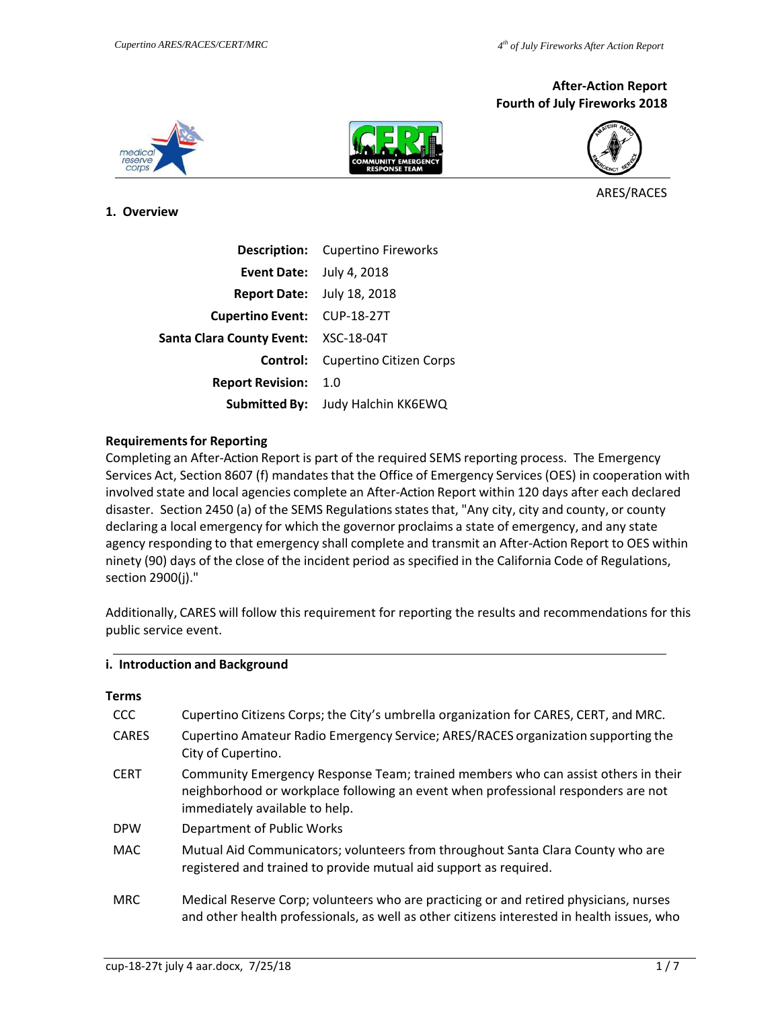## **After‐Action Report Fourth of July Fireworks 2018**







ARES/RACES

### **1. Overview**

|                                      | <b>Description:</b> Cupertino Fireworks |
|--------------------------------------|-----------------------------------------|
| <b>Event Date:</b> July 4, 2018      |                                         |
| <b>Report Date:</b> July 18, 2018    |                                         |
| Cupertino Event: CUP-18-27T          |                                         |
| Santa Clara County Event: XSC-18-04T |                                         |
|                                      | <b>Control:</b> Cupertino Citizen Corps |
| <b>Report Revision: 1.0</b>          |                                         |
|                                      | Submitted By: Judy Halchin KK6EWQ       |

### **Requirements for Reporting**

Completing an After‐Action Report is part of the required SEMS reporting process. The Emergency Services Act, Section 8607 (f) mandates that the Office of Emergency Services (OES) in cooperation with involved state and local agencies complete an After‐Action Report within 120 days after each declared disaster. Section 2450 (a) of the SEMS Regulations states that, "Any city, city and county, or county declaring a local emergency for which the governor proclaims a state of emergency, and any state agency responding to that emergency shall complete and transmit an After‐Action Report to OES within ninety (90) days of the close of the incident period as specified in the California Code of Regulations, section 2900(j)."

Additionally, CARES will follow this requirement for reporting the results and recommendations for this public service event.

### **i. Introduction and Background**

| <b>Terms</b> |                                                                                                                                                                                                          |
|--------------|----------------------------------------------------------------------------------------------------------------------------------------------------------------------------------------------------------|
| CCC.         | Cupertino Citizens Corps; the City's umbrella organization for CARES, CERT, and MRC.                                                                                                                     |
| <b>CARES</b> | Cupertino Amateur Radio Emergency Service; ARES/RACES organization supporting the<br>City of Cupertino.                                                                                                  |
| <b>CERT</b>  | Community Emergency Response Team; trained members who can assist others in their<br>neighborhood or workplace following an event when professional responders are not<br>immediately available to help. |
| <b>DPW</b>   | Department of Public Works                                                                                                                                                                               |
| <b>MAC</b>   | Mutual Aid Communicators; volunteers from throughout Santa Clara County who are<br>registered and trained to provide mutual aid support as required.                                                     |
| <b>MRC</b>   | Medical Reserve Corp; volunteers who are practicing or and retired physicians, nurses<br>and other health professionals, as well as other citizens interested in health issues, who                      |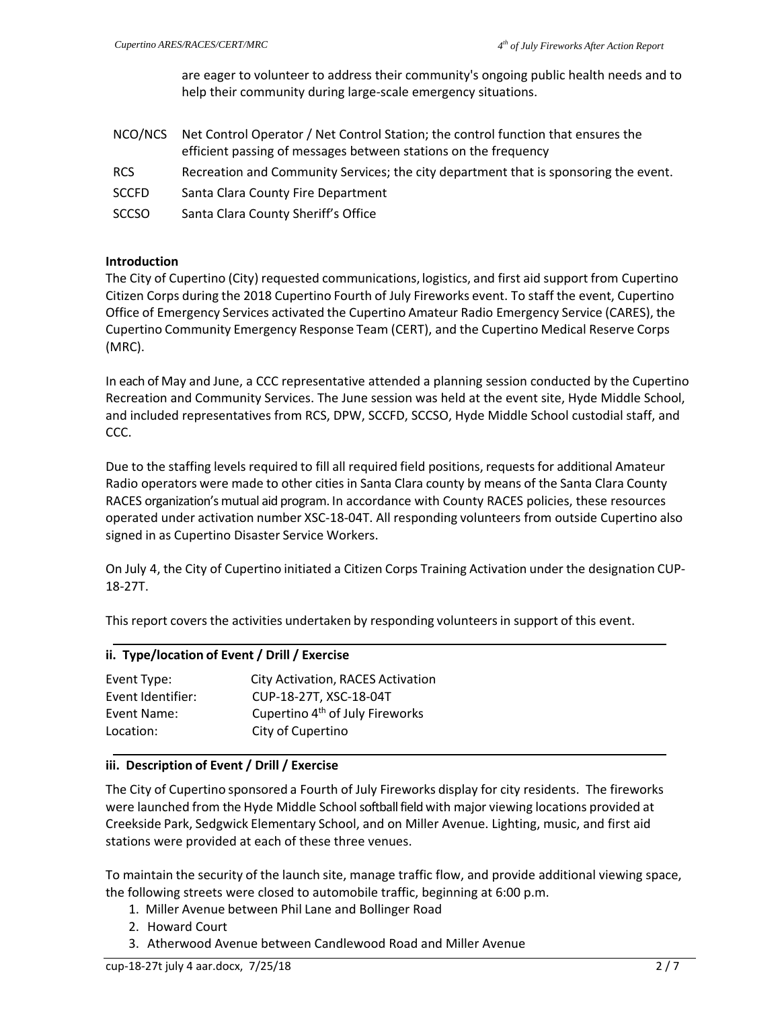are eager to volunteer to address their community's ongoing public health needs and to help their community during large‐scale emergency situations.

- NCO/NCS Net Control Operator / Net Control Station; the control function that ensures the efficient passing of messages between stations on the frequency
- RCS Recreation and Community Services; the city department that is sponsoring the event.
- SCCFD Santa Clara County Fire Department
- SCCSO Santa Clara County Sheriff's Office

### **Introduction**

The City of Cupertino (City) requested communications, logistics, and first aid support from Cupertino Citizen Corps during the 2018 Cupertino Fourth of July Fireworks event. To staff the event, Cupertino Office of Emergency Services activated the Cupertino Amateur Radio Emergency Service (CARES), the Cupertino Community Emergency Response Team (CERT), and the Cupertino Medical Reserve Corps (MRC).

In each of May and June, a CCC representative attended a planning session conducted by the Cupertino Recreation and Community Services. The June session was held at the event site, Hyde Middle School, and included representatives from RCS, DPW, SCCFD, SCCSO, Hyde Middle School custodial staff, and CCC.

Due to the staffing levels required to fill all required field positions, requests for additional Amateur Radio operators were made to other cities in Santa Clara county by means of the Santa Clara County RACES organization's mutual aid program. In accordance with County RACES policies, these resources operated under activation number XSC‐18‐04T. All responding volunteers from outside Cupertino also signed in as Cupertino Disaster Service Workers.

On July 4, the City of Cupertino initiated a Citizen Corps Training Activation under the designation CUP‐ 18‐27T.

This report covers the activities undertaken by responding volunteers in support of this event.

### **ii. Type/location of Event / Drill / Exercise**

| Event Type:       | <b>City Activation, RACES Activation</b>    |
|-------------------|---------------------------------------------|
| Event Identifier: | CUP-18-27T, XSC-18-04T                      |
| Event Name:       | Cupertino 4 <sup>th</sup> of July Fireworks |
| Location:         | City of Cupertino                           |

## **iii. Description of Event / Drill / Exercise**

The City of Cupertino sponsored a Fourth of July Fireworks display for city residents. The fireworks were launched from the Hyde Middle School softball field with major viewing locations provided at Creekside Park, Sedgwick Elementary School, and on Miller Avenue. Lighting, music, and first aid stations were provided at each of these three venues.

To maintain the security of the launch site, manage traffic flow, and provide additional viewing space, the following streets were closed to automobile traffic, beginning at 6:00 p.m.

- 1. Miller Avenue between Phil Lane and Bollinger Road
- 2. Howard Court
- 3. Atherwood Avenue between Candlewood Road and Miller Avenue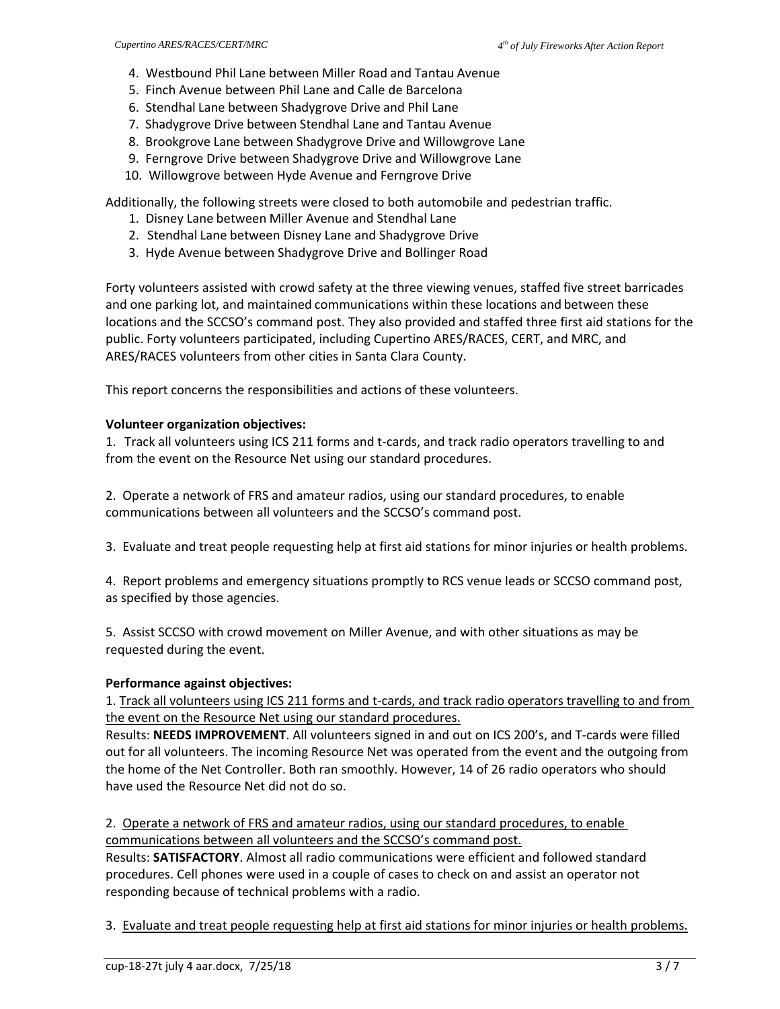- 4. Westbound Phil Lane between Miller Road and Tantau Avenue
- 5. Finch Avenue between Phil Lane and Calle de Barcelona
- 6. Stendhal Lane between Shadygrove Drive and Phil Lane
- 7. Shadygrove Drive between Stendhal Lane and Tantau Avenue
- 8. Brookgrove Lane between Shadygrove Drive and Willowgrove Lane
- 9. Ferngrove Drive between Shadygrove Drive and Willowgrove Lane
- 10. Willowgrove between Hyde Avenue and Ferngrove Drive

Additionally, the following streets were closed to both automobile and pedestrian traffic.

- 1. Disney Lane between Miller Avenue and Stendhal Lane
- 2. Stendhal Lane between Disney Lane and Shadygrove Drive
- 3. Hyde Avenue between Shadygrove Drive and Bollinger Road

Forty volunteers assisted with crowd safety at the three viewing venues, staffed five street barricades and one parking lot, and maintained communications within these locations and between these locations and the SCCSO's command post. They also provided and staffed three first aid stations for the public. Forty volunteers participated, including Cupertino ARES/RACES, CERT, and MRC, and ARES/RACES volunteers from other cities in Santa Clara County.

This report concerns the responsibilities and actions of these volunteers.

### **Volunteer organization objectives:**

1. Track all volunteers using ICS 211 forms and t-cards, and track radio operators travelling to and from the event on the Resource Net using our standard procedures.

2. Operate a network of FRS and amateur radios, using our standard procedures, to enable communications between all volunteers and the SCCSO's command post.

3. Evaluate and treat people requesting help at first aid stations for minor injuries or health problems.

4. Report problems and emergency situations promptly to RCS venue leads or SCCSO command post, as specified by those agencies.

5. Assist SCCSO with crowd movement on Miller Avenue, and with other situations as may be requested during the event.

#### **Performance against objectives:**

1. Track all volunteers using ICS 211 forms and t-cards, and track radio operators travelling to and from the event on the Resource Net using our standard procedures.

Results: **NEEDS IMPROVEMENT**. All volunteers signed in and out on ICS 200's, and T‐cards were filled out for all volunteers. The incoming Resource Net was operated from the event and the outgoing from the home of the Net Controller. Both ran smoothly. However, 14 of 26 radio operators who should have used the Resource Net did not do so.

2. Operate a network of FRS and amateur radios, using our standard procedures, to enable communications between all volunteers and the SCCSO's command post.

Results: **SATISFACTORY**. Almost all radio communications were efficient and followed standard procedures. Cell phones were used in a couple of cases to check on and assist an operator not responding because of technical problems with a radio.

3. Evaluate and treat people requesting help at first aid stations for minor injuries or health problems.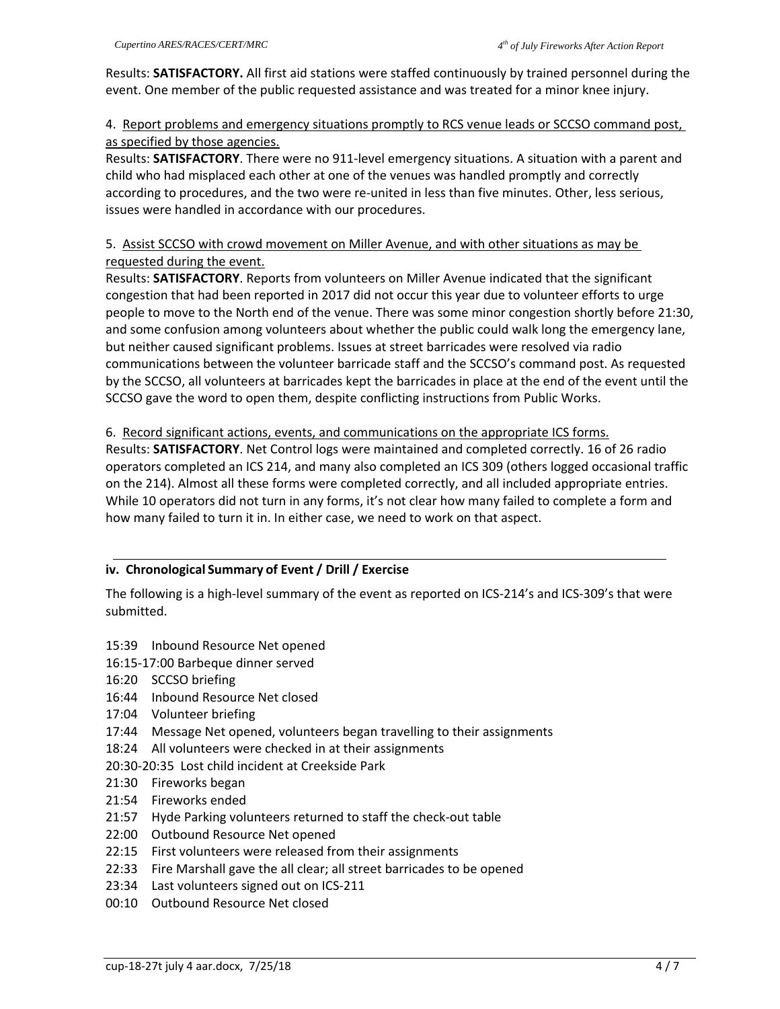Results: **SATISFACTORY.** All first aid stations were staffed continuously by trained personnel during the event. One member of the public requested assistance and was treated for a minor knee injury.

# 4. Report problems and emergency situations promptly to RCS venue leads or SCCSO command post, as specified by those agencies.

Results: **SATISFACTORY**. There were no 911‐level emergency situations. A situation with a parent and child who had misplaced each other at one of the venues was handled promptly and correctly according to procedures, and the two were re-united in less than five minutes. Other, less serious, issues were handled in accordance with our procedures.

# 5. Assist SCCSO with crowd movement on Miller Avenue, and with other situations as may be requested during the event.

Results: **SATISFACTORY**. Reports from volunteers on Miller Avenue indicated that the significant congestion that had been reported in 2017 did not occur this year due to volunteer efforts to urge people to move to the North end of the venue. There was some minor congestion shortly before 21:30, and some confusion among volunteers about whether the public could walk long the emergency lane, but neither caused significant problems. Issues at street barricades were resolved via radio communications between the volunteer barricade staff and the SCCSO's command post. As requested by the SCCSO, all volunteers at barricades kept the barricades in place at the end of the event until the SCCSO gave the word to open them, despite conflicting instructions from Public Works.

# 6. Record significant actions, events, and communications on the appropriate ICS forms.

Results: **SATISFACTORY**. Net Control logs were maintained and completed correctly. 16 of 26 radio operators completed an ICS 214, and many also completed an ICS 309 (others logged occasional traffic on the 214). Almost all these forms were completed correctly, and all included appropriate entries. While 10 operators did not turn in any forms, it's not clear how many failed to complete a form and how many failed to turn it in. In either case, we need to work on that aspect.

# **iv. Chronological Summary of Event / Drill / Exercise**

The following is a high-level summary of the event as reported on ICS-214's and ICS-309's that were submitted.

- 15:39 Inbound Resource Net opened
- 16:15‐17:00 Barbeque dinner served
- 16:20 SCCSO briefing
- 16:44 Inbound Resource Net closed
- 17:04 Volunteer briefing
- 17:44 Message Net opened, volunteers began travelling to their assignments
- 18:24 All volunteers were checked in at their assignments
- 20:30‐20:35 Lost child incident at Creekside Park
- 21:30 Fireworks began
- 21:54 Fireworks ended
- 21:57 Hyde Parking volunteers returned to staff the check‐out table
- 22:00 Outbound Resource Net opened
- 22:15 First volunteers were released from their assignments
- 22:33 Fire Marshall gave the all clear; all street barricades to be opened
- 23:34 Last volunteers signed out on ICS‐211
- 00:10 Outbound Resource Net closed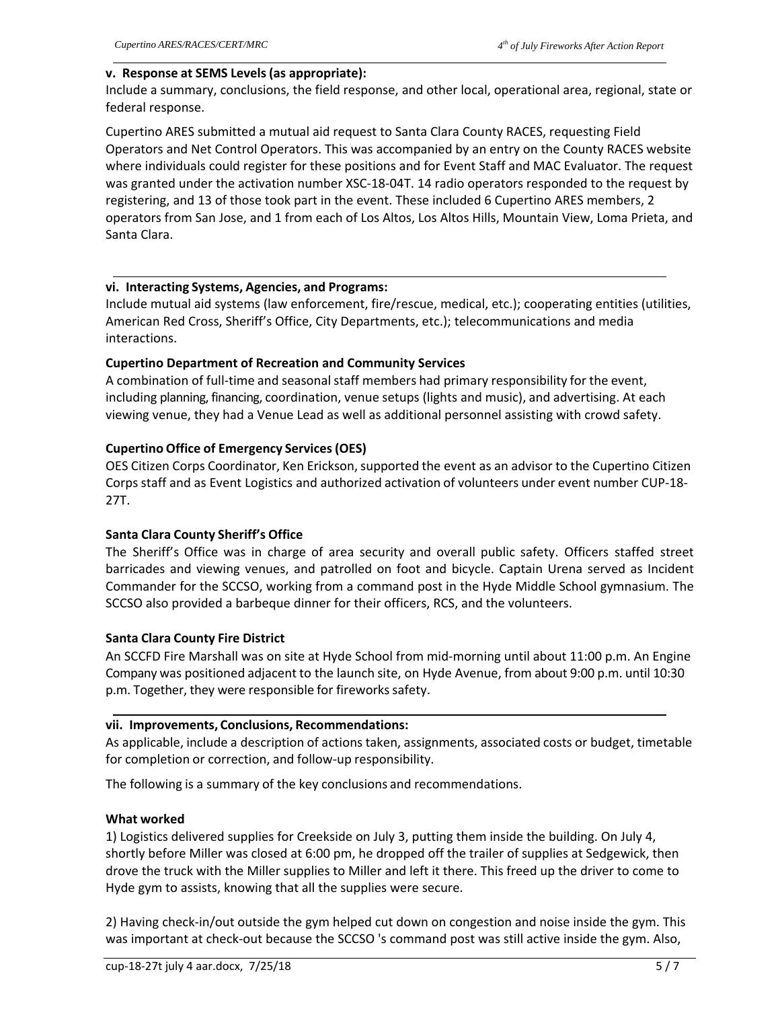#### **v. Response at SEMS Levels (as appropriate):**

Include a summary, conclusions, the field response, and other local, operational area, regional, state or federal response.

Cupertino ARES submitted a mutual aid request to Santa Clara County RACES, requesting Field Operators and Net Control Operators. This was accompanied by an entry on the County RACES website where individuals could register for these positions and for Event Staff and MAC Evaluator. The request was granted under the activation number XSC-18-04T. 14 radio operators responded to the request by registering, and 13 of those took part in the event. These included 6 Cupertino ARES members, 2 operators from San Jose, and 1 from each of Los Altos, Los Altos Hills, Mountain View, Loma Prieta, and Santa Clara.

### **vi. Interacting Systems, Agencies, and Programs:**

Include mutual aid systems (law enforcement, fire/rescue, medical, etc.); cooperating entities (utilities, American Red Cross, Sheriff's Office, City Departments, etc.); telecommunications and media interactions.

## **Cupertino Department of Recreation and Community Services**

A combination of full-time and seasonal staff members had primary responsibility for the event, including planning, financing, coordination, venue setups (lights and music), and advertising. At each viewing venue, they had a Venue Lead as well as additional personnel assisting with crowd safety.

## **Cupertino Office of Emergency Services (OES)**

OES Citizen Corps Coordinator, Ken Erickson, supported the event as an advisor to the Cupertino Citizen Corps staff and as Event Logistics and authorized activation of volunteers under event number CUP‐18‐ 27T.

## **Santa Clara County Sheriff's Office**

The Sheriff's Office was in charge of area security and overall public safety. Officers staffed street barricades and viewing venues, and patrolled on foot and bicycle. Captain Urena served as Incident Commander for the SCCSO, working from a command post in the Hyde Middle School gymnasium. The SCCSO also provided a barbeque dinner for their officers, RCS, and the volunteers.

## **Santa Clara County Fire District**

An SCCFD Fire Marshall was on site at Hyde School from mid‐morning until about 11:00 p.m. An Engine Company was positioned adjacent to the launch site, on Hyde Avenue, from about 9:00 p.m. until 10:30 p.m. Together, they were responsible for fireworks safety.

## **vii. Improvements, Conclusions, Recommendations:**

As applicable, include a description of actions taken, assignments, associated costs or budget, timetable for completion or correction, and follow‐up responsibility.

The following is a summary of the key conclusions and recommendations.

## **What worked**

1) Logistics delivered supplies for Creekside on July 3, putting them inside the building. On July 4, shortly before Miller was closed at 6:00 pm, he dropped off the trailer of supplies at Sedgewick, then drove the truck with the Miller supplies to Miller and left it there. This freed up the driver to come to Hyde gym to assists, knowing that all the supplies were secure.

2) Having check‐in/out outside the gym helped cut down on congestion and noise inside the gym. This was important at check-out because the SCCSO 's command post was still active inside the gym. Also,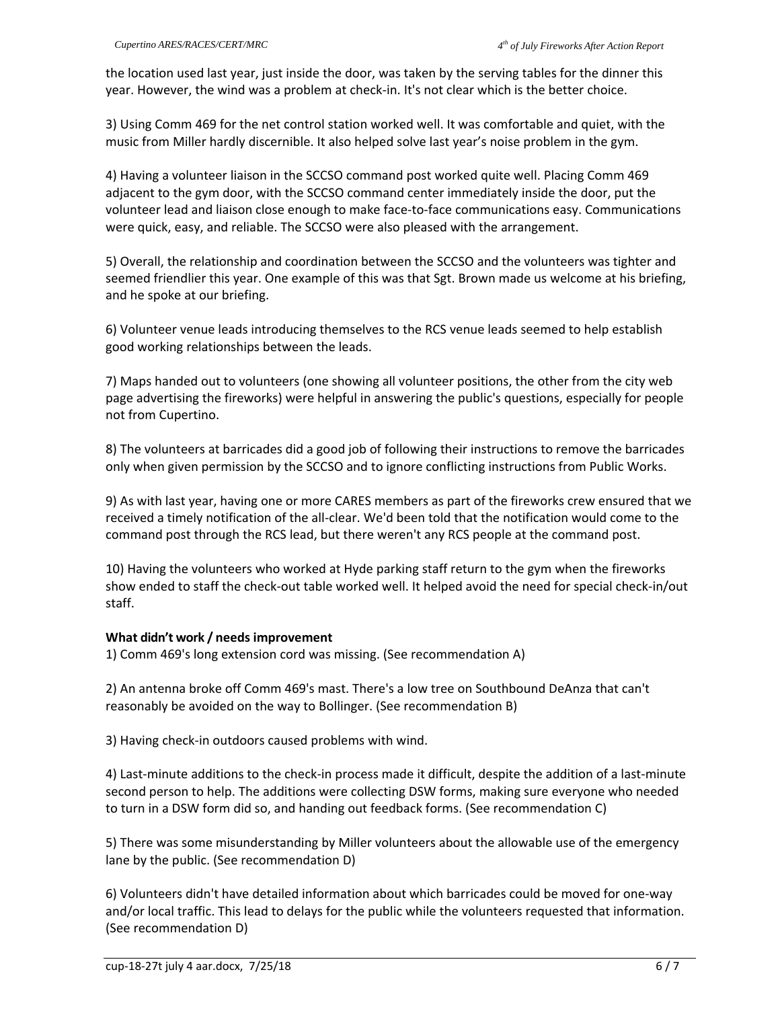the location used last year, just inside the door, was taken by the serving tables for the dinner this year. However, the wind was a problem at check-in. It's not clear which is the better choice.

3) Using Comm 469 for the net control station worked well. It was comfortable and quiet, with the music from Miller hardly discernible. It also helped solve last year's noise problem in the gym.

4) Having a volunteer liaison in the SCCSO command post worked quite well. Placing Comm 469 adjacent to the gym door, with the SCCSO command center immediately inside the door, put the volunteer lead and liaison close enough to make face‐to‐face communications easy. Communications were quick, easy, and reliable. The SCCSO were also pleased with the arrangement.

5) Overall, the relationship and coordination between the SCCSO and the volunteers was tighter and seemed friendlier this year. One example of this was that Sgt. Brown made us welcome at his briefing, and he spoke at our briefing.

6) Volunteer venue leads introducing themselves to the RCS venue leads seemed to help establish good working relationships between the leads.

7) Maps handed out to volunteers (one showing all volunteer positions, the other from the city web page advertising the fireworks) were helpful in answering the public's questions, especially for people not from Cupertino.

8) The volunteers at barricades did a good job of following their instructions to remove the barricades only when given permission by the SCCSO and to ignore conflicting instructions from Public Works.

9) As with last year, having one or more CARES members as part of the fireworks crew ensured that we received a timely notification of the all‐clear. We'd been told that the notification would come to the command post through the RCS lead, but there weren't any RCS people at the command post.

10) Having the volunteers who worked at Hyde parking staff return to the gym when the fireworks show ended to staff the check‐out table worked well. It helped avoid the need for special check‐in/out staff.

## **What didn't work / needs improvement**

1) Comm 469's long extension cord was missing. (See recommendation A)

2) An antenna broke off Comm 469's mast. There's a low tree on Southbound DeAnza that can't reasonably be avoided on the way to Bollinger. (See recommendation B)

3) Having check‐in outdoors caused problems with wind.

4) Last-minute additions to the check-in process made it difficult, despite the addition of a last-minute second person to help. The additions were collecting DSW forms, making sure everyone who needed to turn in a DSW form did so, and handing out feedback forms. (See recommendation C)

5) There was some misunderstanding by Miller volunteers about the allowable use of the emergency lane by the public. (See recommendation D)

6) Volunteers didn't have detailed information about which barricades could be moved for one‐way and/or local traffic. This lead to delays for the public while the volunteers requested that information. (See recommendation D)